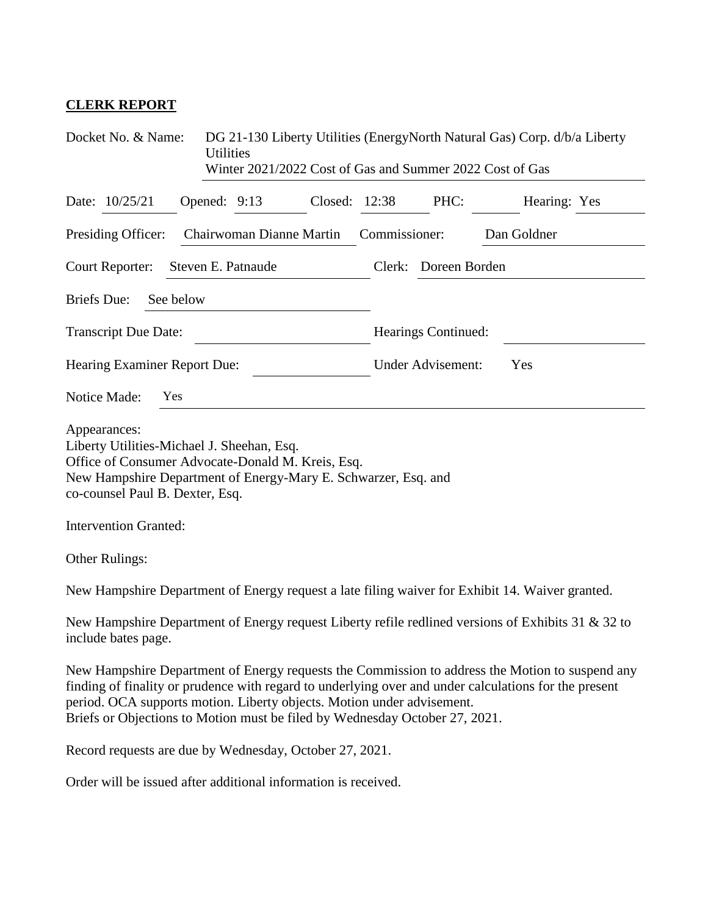## **CLERK REPORT**

| Docket No. & Name:<br>DG 21-130 Liberty Utilities (EnergyNorth Natural Gas) Corp. d/b/a Liberty<br><b>Utilities</b><br>Winter 2021/2022 Cost of Gas and Summer 2022 Cost of Gas                                                                                |                                                                                                    |  |  |  |  |
|----------------------------------------------------------------------------------------------------------------------------------------------------------------------------------------------------------------------------------------------------------------|----------------------------------------------------------------------------------------------------|--|--|--|--|
| Date: 10/25/21<br>Opened: 9:13                                                                                                                                                                                                                                 | Closed: 12:38<br>PHC:<br>Hearing: Yes                                                              |  |  |  |  |
| Presiding Officer:<br>Chairwoman Dianne Martin                                                                                                                                                                                                                 | Commissioner:<br>Dan Goldner                                                                       |  |  |  |  |
| <b>Court Reporter:</b><br>Steven E. Patnaude                                                                                                                                                                                                                   | Doreen Borden<br>Clerk:                                                                            |  |  |  |  |
| <b>Briefs</b> Due:<br>See below                                                                                                                                                                                                                                |                                                                                                    |  |  |  |  |
| <b>Transcript Due Date:</b>                                                                                                                                                                                                                                    | Hearings Continued:                                                                                |  |  |  |  |
| Hearing Examiner Report Due:                                                                                                                                                                                                                                   | <b>Under Advisement:</b><br>Yes                                                                    |  |  |  |  |
| Notice Made:<br>Yes                                                                                                                                                                                                                                            |                                                                                                    |  |  |  |  |
| Appearances:<br>Liberty Utilities-Michael J. Sheehan, Esq.<br>Office of Consumer Advocate-Donald M. Kreis, Esq.<br>New Hampshire Department of Energy-Mary E. Schwarzer, Esq. and<br>co-counsel Paul B. Dexter, Esq.<br><b>Intervention Granted:</b>           |                                                                                                    |  |  |  |  |
| Other Rulings:                                                                                                                                                                                                                                                 |                                                                                                    |  |  |  |  |
| New Hampshire Department of Energy request a late filing waiver for Exhibit 14. Waiver granted.                                                                                                                                                                |                                                                                                    |  |  |  |  |
| include bates page.                                                                                                                                                                                                                                            | New Hampshire Department of Energy request Liberty refile redlined versions of Exhibits 31 & 32 to |  |  |  |  |
| finding of finality or prudence with regard to underlying over and under calculations for the present<br>period. OCA supports motion. Liberty objects. Motion under advisement.<br>Briefs or Objections to Motion must be filed by Wednesday October 27, 2021. | New Hampshire Department of Energy requests the Commission to address the Motion to suspend any    |  |  |  |  |
| Record requests are due by Wednesday, October 27, 2021.                                                                                                                                                                                                        |                                                                                                    |  |  |  |  |
|                                                                                                                                                                                                                                                                |                                                                                                    |  |  |  |  |

Order will be issued after additional information is received.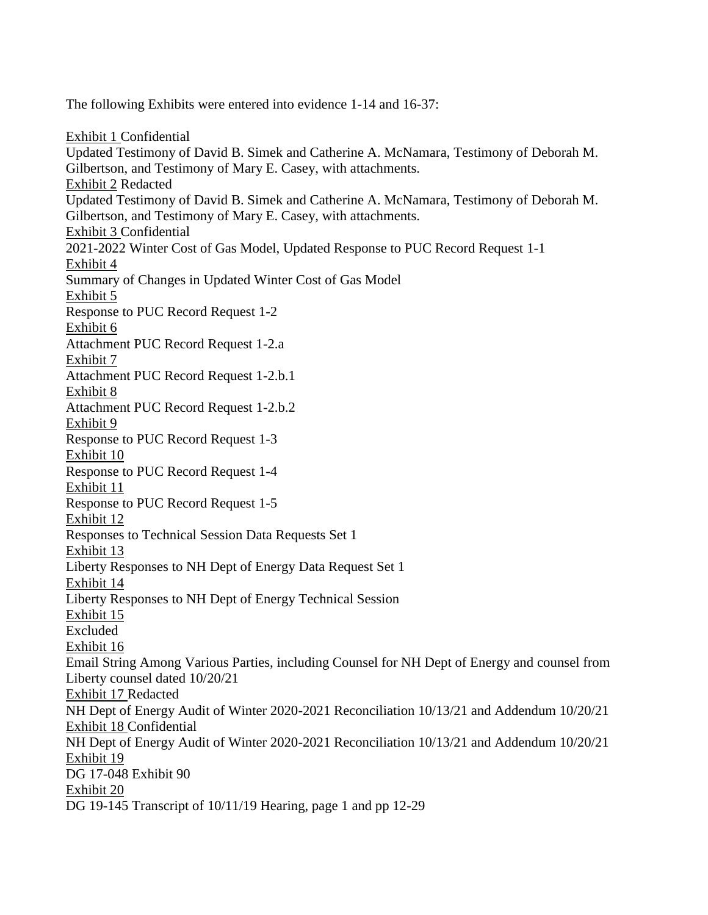The following Exhibits were entered into evidence 1-14 and 16-37:

Exhibit 1 Confidential Updated Testimony of David B. Simek and Catherine A. McNamara, Testimony of Deborah M. Gilbertson, and Testimony of Mary E. Casey, with attachments. Exhibit 2 Redacted Updated Testimony of David B. Simek and Catherine A. McNamara, Testimony of Deborah M. Gilbertson, and Testimony of Mary E. Casey, with attachments. Exhibit 3 Confidential 2021-2022 Winter Cost of Gas Model, Updated Response to PUC Record Request 1-1 Exhibit 4 Summary of Changes in Updated Winter Cost of Gas Model Exhibit 5 Response to PUC Record Request 1-2 Exhibit 6 Attachment PUC Record Request 1-2.a Exhibit 7 Attachment PUC Record Request 1-2.b.1 Exhibit 8 Attachment PUC Record Request 1-2.b.2 Exhibit 9 Response to PUC Record Request 1-3 Exhibit 10 Response to PUC Record Request 1-4 Exhibit 11 Response to PUC Record Request 1-5 Exhibit 12 Responses to Technical Session Data Requests Set 1 Exhibit 13 Liberty Responses to NH Dept of Energy Data Request Set 1 Exhibit 14 Liberty Responses to NH Dept of Energy Technical Session Exhibit 15 Excluded Exhibit 16 Email String Among Various Parties, including Counsel for NH Dept of Energy and counsel from Liberty counsel dated 10/20/21 Exhibit 17 Redacted NH Dept of Energy Audit of Winter 2020-2021 Reconciliation 10/13/21 and Addendum 10/20/21 Exhibit 18 Confidential NH Dept of Energy Audit of Winter 2020-2021 Reconciliation 10/13/21 and Addendum 10/20/21 Exhibit 19 DG 17-048 Exhibit 90 Exhibit 20 DG 19-145 Transcript of 10/11/19 Hearing, page 1 and pp 12-29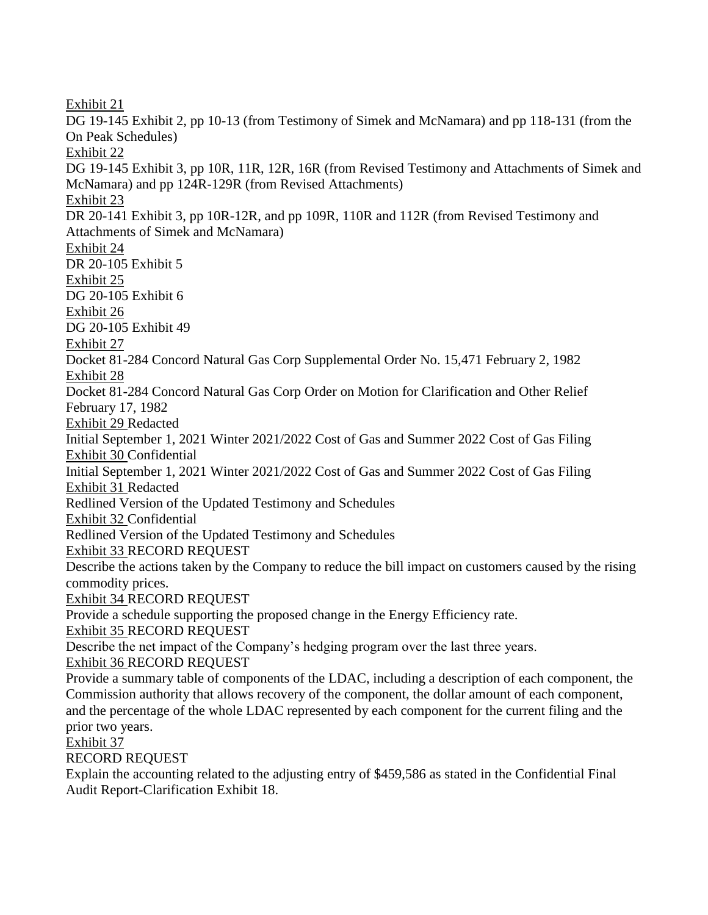Exhibit 21 DG 19-145 Exhibit 2, pp 10-13 (from Testimony of Simek and McNamara) and pp 118-131 (from the On Peak Schedules) Exhibit 22 DG 19-145 Exhibit 3, pp 10R, 11R, 12R, 16R (from Revised Testimony and Attachments of Simek and McNamara) and pp 124R-129R (from Revised Attachments) Exhibit 23 DR 20-141 Exhibit 3, pp 10R-12R, and pp 109R, 110R and 112R (from Revised Testimony and Attachments of Simek and McNamara) Exhibit 24 DR 20-105 Exhibit 5 Exhibit 25 DG 20-105 Exhibit 6 Exhibit 26 DG 20-105 Exhibit 49 Exhibit 27 Docket 81-284 Concord Natural Gas Corp Supplemental Order No. 15,471 February 2, 1982 Exhibit 28 Docket 81-284 Concord Natural Gas Corp Order on Motion for Clarification and Other Relief February 17, 1982 Exhibit 29 Redacted Initial September 1, 2021 Winter 2021/2022 Cost of Gas and Summer 2022 Cost of Gas Filing Exhibit 30 Confidential Initial September 1, 2021 Winter 2021/2022 Cost of Gas and Summer 2022 Cost of Gas Filing Exhibit 31 Redacted Redlined Version of the Updated Testimony and Schedules Exhibit 32 Confidential Redlined Version of the Updated Testimony and Schedules Exhibit 33 RECORD REQUEST Describe the actions taken by the Company to reduce the bill impact on customers caused by the rising commodity prices. Exhibit 34 RECORD REQUEST Provide a schedule supporting the proposed change in the Energy Efficiency rate. Exhibit 35 RECORD REQUEST Describe the net impact of the Company's hedging program over the last three years. Exhibit 36 RECORD REQUEST Provide a summary table of components of the LDAC, including a description of each component, the Commission authority that allows recovery of the component, the dollar amount of each component, and the percentage of the whole LDAC represented by each component for the current filing and the prior two years. Exhibit 37 RECORD REQUEST Explain the accounting related to the adjusting entry of \$459,586 as stated in the Confidential Final

Audit Report-Clarification Exhibit 18.